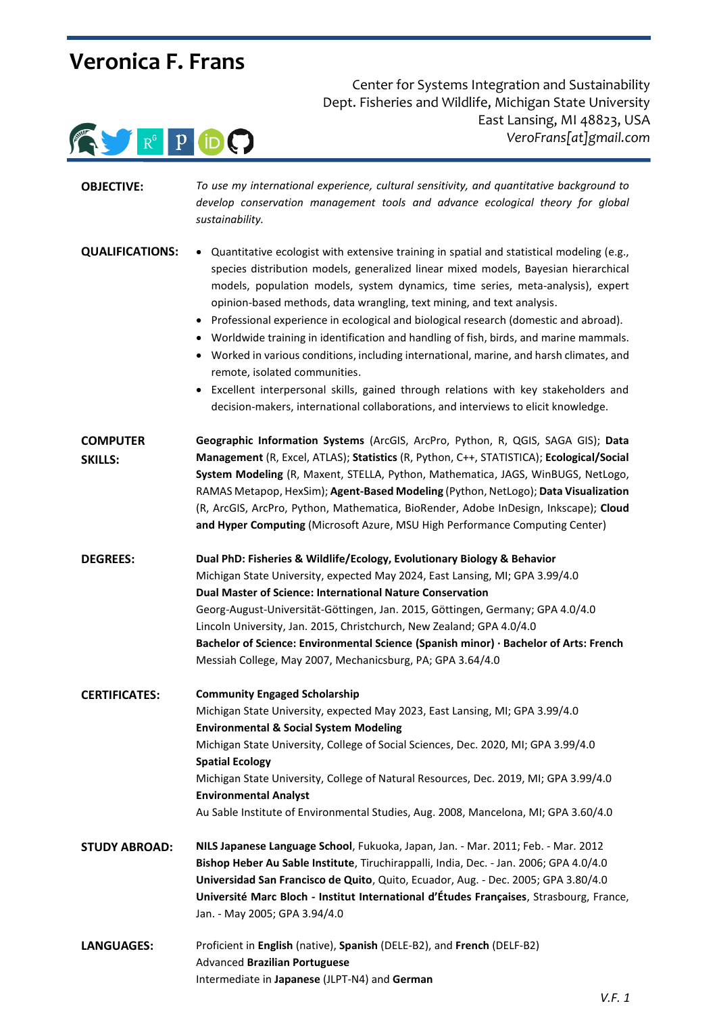# **Veronica F. Frans**



 Center for Systems Integration and Sustainability Dept. Fisheries and Wildlife, Michigan State University East Lansing, MI 48823, USA *VeroFrans[at]gmail.com*

| <b>OBJECTIVE:</b>      | To use my international experience, cultural sensitivity, and quantitative background to<br>develop conservation management tools and advance ecological theory for global<br>sustainability.                                                                                                                                                                                                                                                                                                                                                                                                                                                                                                                                                                                                                                                      |
|------------------------|----------------------------------------------------------------------------------------------------------------------------------------------------------------------------------------------------------------------------------------------------------------------------------------------------------------------------------------------------------------------------------------------------------------------------------------------------------------------------------------------------------------------------------------------------------------------------------------------------------------------------------------------------------------------------------------------------------------------------------------------------------------------------------------------------------------------------------------------------|
| <b>QUALIFICATIONS:</b> | • Quantitative ecologist with extensive training in spatial and statistical modeling (e.g.,<br>species distribution models, generalized linear mixed models, Bayesian hierarchical<br>models, population models, system dynamics, time series, meta-analysis), expert<br>opinion-based methods, data wrangling, text mining, and text analysis.<br>• Professional experience in ecological and biological research (domestic and abroad).<br>• Worldwide training in identification and handling of fish, birds, and marine mammals.<br>Worked in various conditions, including international, marine, and harsh climates, and<br>٠<br>remote, isolated communities.<br>• Excellent interpersonal skills, gained through relations with key stakeholders and<br>decision-makers, international collaborations, and interviews to elicit knowledge. |
| <b>COMPUTER</b>        | Geographic Information Systems (ArcGIS, ArcPro, Python, R, QGIS, SAGA GIS); Data                                                                                                                                                                                                                                                                                                                                                                                                                                                                                                                                                                                                                                                                                                                                                                   |
| <b>SKILLS:</b>         | Management (R, Excel, ATLAS); Statistics (R, Python, C++, STATISTICA); Ecological/Social<br>System Modeling (R, Maxent, STELLA, Python, Mathematica, JAGS, WinBUGS, NetLogo,<br>RAMAS Metapop, HexSim); Agent-Based Modeling (Python, NetLogo); Data Visualization<br>(R, ArcGIS, ArcPro, Python, Mathematica, BioRender, Adobe InDesign, Inkscape); Cloud<br>and Hyper Computing (Microsoft Azure, MSU High Performance Computing Center)                                                                                                                                                                                                                                                                                                                                                                                                         |
| <b>DEGREES:</b>        | Dual PhD: Fisheries & Wildlife/Ecology, Evolutionary Biology & Behavior                                                                                                                                                                                                                                                                                                                                                                                                                                                                                                                                                                                                                                                                                                                                                                            |
|                        | Michigan State University, expected May 2024, East Lansing, MI; GPA 3.99/4.0                                                                                                                                                                                                                                                                                                                                                                                                                                                                                                                                                                                                                                                                                                                                                                       |
|                        | <b>Dual Master of Science: International Nature Conservation</b>                                                                                                                                                                                                                                                                                                                                                                                                                                                                                                                                                                                                                                                                                                                                                                                   |
|                        | Georg-August-Universität-Göttingen, Jan. 2015, Göttingen, Germany; GPA 4.0/4.0                                                                                                                                                                                                                                                                                                                                                                                                                                                                                                                                                                                                                                                                                                                                                                     |
|                        | Lincoln University, Jan. 2015, Christchurch, New Zealand; GPA 4.0/4.0<br>Bachelor of Science: Environmental Science (Spanish minor) · Bachelor of Arts: French                                                                                                                                                                                                                                                                                                                                                                                                                                                                                                                                                                                                                                                                                     |
|                        | Messiah College, May 2007, Mechanicsburg, PA; GPA 3.64/4.0                                                                                                                                                                                                                                                                                                                                                                                                                                                                                                                                                                                                                                                                                                                                                                                         |
| <b>CERTIFICATES:</b>   | <b>Community Engaged Scholarship</b>                                                                                                                                                                                                                                                                                                                                                                                                                                                                                                                                                                                                                                                                                                                                                                                                               |
|                        | Michigan State University, expected May 2023, East Lansing, MI; GPA 3.99/4.0<br><b>Environmental &amp; Social System Modeling</b>                                                                                                                                                                                                                                                                                                                                                                                                                                                                                                                                                                                                                                                                                                                  |
|                        | Michigan State University, College of Social Sciences, Dec. 2020, MI; GPA 3.99/4.0<br><b>Spatial Ecology</b>                                                                                                                                                                                                                                                                                                                                                                                                                                                                                                                                                                                                                                                                                                                                       |
|                        | Michigan State University, College of Natural Resources, Dec. 2019, MI; GPA 3.99/4.0<br><b>Environmental Analyst</b>                                                                                                                                                                                                                                                                                                                                                                                                                                                                                                                                                                                                                                                                                                                               |
|                        | Au Sable Institute of Environmental Studies, Aug. 2008, Mancelona, MI; GPA 3.60/4.0                                                                                                                                                                                                                                                                                                                                                                                                                                                                                                                                                                                                                                                                                                                                                                |
| <b>STUDY ABROAD:</b>   | NILS Japanese Language School, Fukuoka, Japan, Jan. - Mar. 2011; Feb. - Mar. 2012                                                                                                                                                                                                                                                                                                                                                                                                                                                                                                                                                                                                                                                                                                                                                                  |
|                        | Bishop Heber Au Sable Institute, Tiruchirappalli, India, Dec. - Jan. 2006; GPA 4.0/4.0                                                                                                                                                                                                                                                                                                                                                                                                                                                                                                                                                                                                                                                                                                                                                             |
|                        | Universidad San Francisco de Quito, Quito, Ecuador, Aug. - Dec. 2005; GPA 3.80/4.0                                                                                                                                                                                                                                                                                                                                                                                                                                                                                                                                                                                                                                                                                                                                                                 |
|                        | Université Marc Bloch - Institut International d'Études Françaises, Strasbourg, France,<br>Jan. - May 2005; GPA 3.94/4.0                                                                                                                                                                                                                                                                                                                                                                                                                                                                                                                                                                                                                                                                                                                           |
| <b>LANGUAGES:</b>      | Proficient in English (native), Spanish (DELE-B2), and French (DELF-B2)                                                                                                                                                                                                                                                                                                                                                                                                                                                                                                                                                                                                                                                                                                                                                                            |
|                        | Advanced Brazilian Portuguese                                                                                                                                                                                                                                                                                                                                                                                                                                                                                                                                                                                                                                                                                                                                                                                                                      |
|                        | Intermediate in Japanese (JLPT-N4) and German                                                                                                                                                                                                                                                                                                                                                                                                                                                                                                                                                                                                                                                                                                                                                                                                      |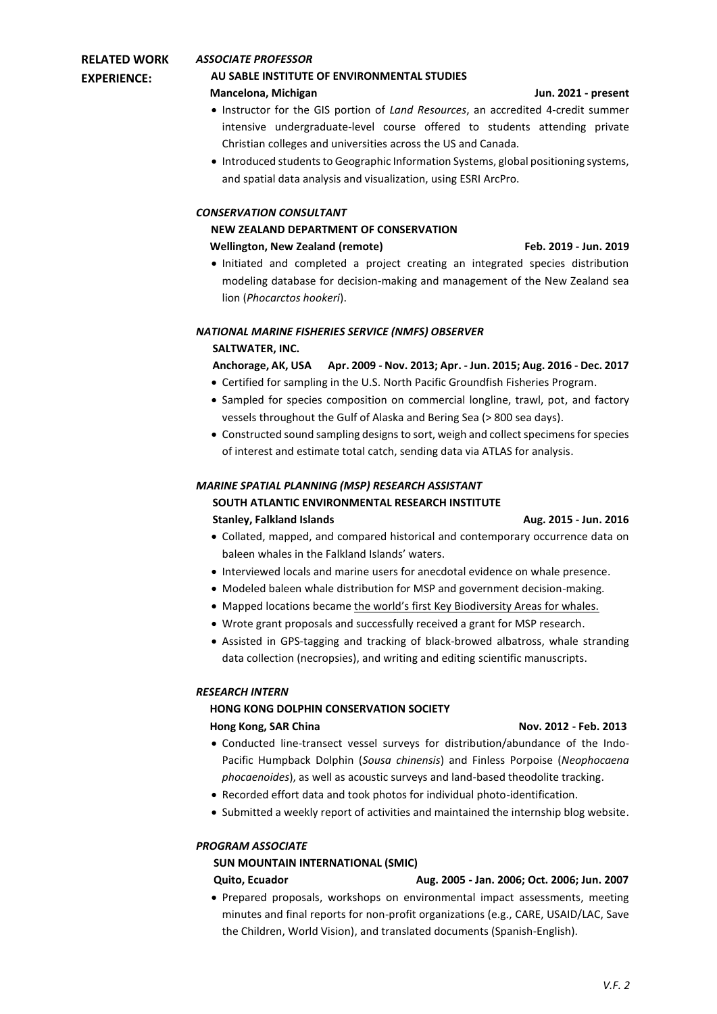### **RELATED WORK EXPERIENCE:** *ASSOCIATE PROFESSOR*

## **AU SABLE INSTITUTE OF ENVIRONMENTAL STUDIES**

## **Mancelona, Michigan Jun. 2021 - present**

- Instructor for the GIS portion of *Land Resources*, an accredited 4-credit summer intensive undergraduate-level course offered to students attending private Christian colleges and universities across the US and Canada.
- Introduced students to Geographic Information Systems, global positioning systems, and spatial data analysis and visualization, using ESRI ArcPro.

## *CONSERVATION CONSULTANT*

## **NEW ZEALAND DEPARTMENT OF CONSERVATION**

## **Wellington, New Zealand (remote) Feb. 2019 - Jun. 2019**

• Initiated and completed a project creating an integrated species distribution modeling database for decision-making and management of the New Zealand sea lion (*Phocarctos hookeri*).

### *NATIONAL MARINE FISHERIES SERVICE (NMFS) OBSERVER* **SALTWATER, INC.**

## **Anchorage, AK, USA Apr. 2009 - Nov. 2013; Apr. - Jun. 2015; Aug. 2016 - Dec. 2017**

- Certified for sampling in the U.S. North Pacific Groundfish Fisheries Program.
- Sampled for species composition on commercial longline, trawl, pot, and factory vessels throughout the Gulf of Alaska and Bering Sea (> 800 sea days).
- Constructed sound sampling designs to sort, weigh and collect specimens for species of interest and estimate total catch, sending data via ATLAS for analysis.

## *MARINE SPATIAL PLANNING (MSP) RESEARCH ASSISTANT*

## **SOUTH ATLANTIC ENVIRONMENTAL RESEARCH INSTITUTE**

## **Stanley, Falkland Islands Aug. 2015 - Jun. 2016**

- Collated, mapped, and compared historical and contemporary occurrence data on baleen whales in the Falkland Islands' waters.
- Interviewed locals and marine users for anecdotal evidence on whale presence.
- Modeled baleen whale distribution for MSP and government decision-making.
- Mapped locations became the world's first Key Biodiversity Areas for whales.
- Wrote grant proposals and successfully received a grant for MSP research.
- Assisted in GPS-tagging and tracking of black-browed albatross, whale stranding data collection (necropsies), and writing and editing scientific manuscripts.

## *RESEARCH INTERN*

## **HONG KONG DOLPHIN CONSERVATION SOCIETY**

## **Hong Kong, SAR China Nov. 2012 - Feb. 2013**

## • Conducted line-transect vessel surveys for distribution/abundance of the Indo-Pacific Humpback Dolphin (*Sousa chinensis*) and Finless Porpoise (*Neophocaena phocaenoides*), as well as acoustic surveys and land-based theodolite tracking.

- Recorded effort data and took photos for individual photo-identification.
- Submitted a weekly report of activities and maintained the internship blog website.

## *PROGRAM ASSOCIATE*

## **SUN MOUNTAIN INTERNATIONAL (SMIC)**

## **Quito, Ecuador Aug. 2005 - Jan. 2006; Oct. 2006; Jun. 2007**

• Prepared proposals, workshops on environmental impact assessments, meeting minutes and final reports for non-profit organizations (e.g., CARE, USAID/LAC, Save the Children, World Vision), and translated documents (Spanish-English).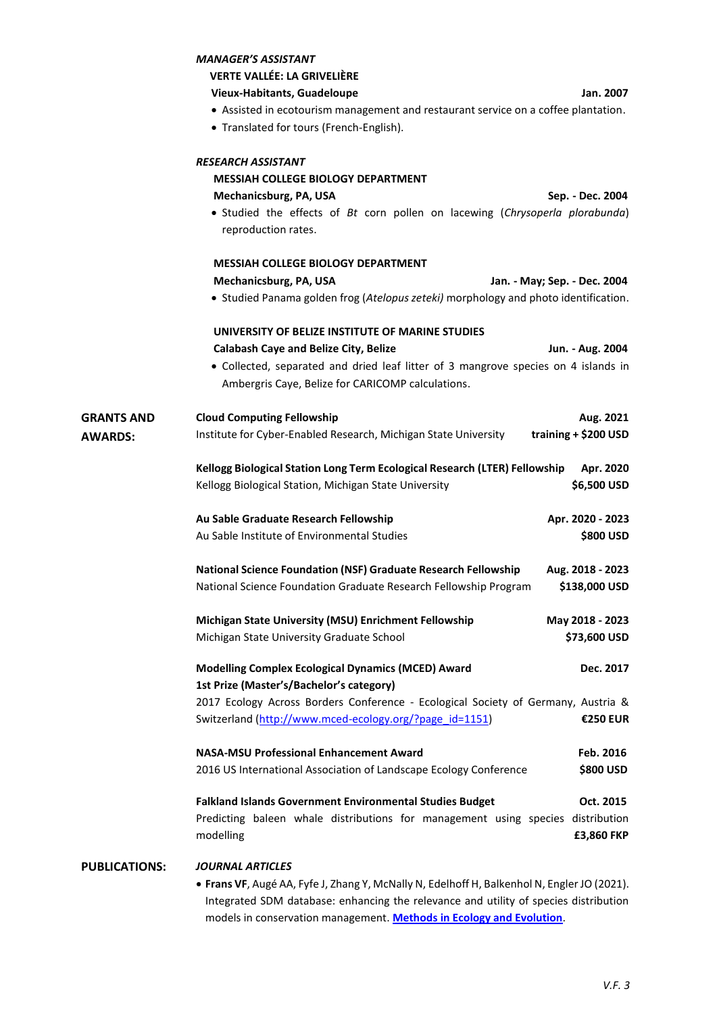|                      | <b>MANAGER'S ASSISTANT</b>                                                                          |                              |
|----------------------|-----------------------------------------------------------------------------------------------------|------------------------------|
|                      | <b>VERTE VALLÉE: LA GRIVELIÈRE</b>                                                                  |                              |
|                      | <b>Vieux-Habitants, Guadeloupe</b>                                                                  | Jan. 2007                    |
|                      | • Assisted in ecotourism management and restaurant service on a coffee plantation.                  |                              |
|                      | • Translated for tours (French-English).                                                            |                              |
|                      | <b>RESEARCH ASSISTANT</b>                                                                           |                              |
|                      | <b>MESSIAH COLLEGE BIOLOGY DEPARTMENT</b>                                                           |                              |
|                      | Mechanicsburg, PA, USA                                                                              | Sep. - Dec. 2004             |
|                      | • Studied the effects of Bt corn pollen on lacewing (Chrysoperla plorabunda)<br>reproduction rates. |                              |
|                      | <b>MESSIAH COLLEGE BIOLOGY DEPARTMENT</b>                                                           |                              |
|                      | Mechanicsburg, PA, USA                                                                              | Jan. - May; Sep. - Dec. 2004 |
|                      | • Studied Panama golden frog (Atelopus zeteki) morphology and photo identification.                 |                              |
|                      | UNIVERSITY OF BELIZE INSTITUTE OF MARINE STUDIES                                                    |                              |
|                      | <b>Calabash Caye and Belize City, Belize</b>                                                        | Jun. - Aug. 2004             |
|                      | • Collected, separated and dried leaf litter of 3 mangrove species on 4 islands in                  |                              |
|                      | Ambergris Caye, Belize for CARICOMP calculations.                                                   |                              |
| <b>GRANTS AND</b>    | <b>Cloud Computing Fellowship</b>                                                                   | Aug. 2021                    |
| <b>AWARDS:</b>       | Institute for Cyber-Enabled Research, Michigan State University                                     | training + \$200 USD         |
|                      | Kellogg Biological Station Long Term Ecological Research (LTER) Fellowship                          | Apr. 2020                    |
|                      | Kellogg Biological Station, Michigan State University                                               | \$6,500 USD                  |
|                      | Au Sable Graduate Research Fellowship                                                               | Apr. 2020 - 2023             |
|                      | Au Sable Institute of Environmental Studies                                                         | \$800 USD                    |
|                      | <b>National Science Foundation (NSF) Graduate Research Fellowship</b>                               | Aug. 2018 - 2023             |
|                      | National Science Foundation Graduate Research Fellowship Program                                    | \$138,000 USD                |
|                      | Michigan State University (MSU) Enrichment Fellowship                                               | May 2018 - 2023              |
|                      | Michigan State University Graduate School                                                           | \$73,600 USD                 |
|                      | <b>Modelling Complex Ecological Dynamics (MCED) Award</b>                                           | Dec. 2017                    |
|                      | 1st Prize (Master's/Bachelor's category)                                                            |                              |
|                      | 2017 Ecology Across Borders Conference - Ecological Society of Germany, Austria &                   |                              |
|                      | Switzerland (http://www.mced-ecology.org/?page id=1151)                                             | <b>€250 EUR</b>              |
|                      | <b>NASA-MSU Professional Enhancement Award</b>                                                      | Feb. 2016                    |
|                      | 2016 US International Association of Landscape Ecology Conference                                   | \$800 USD                    |
|                      | Falkland Islands Government Environmental Studies Budget                                            | Oct. 2015                    |
|                      | Predicting baleen whale distributions for management using species distribution                     |                              |
|                      | modelling                                                                                           | £3,860 FKP                   |
| <b>PUBLICATIONS:</b> | <b>JOURNAL ARTICLES</b>                                                                             |                              |
|                      | . Frans VF, Augé AA, Fyfe J, Zhang Y, McNally N, Edelhoff H, Balkenhol N, Engler JO (2021).         |                              |

Integrated SDM database: enhancing the relevance and utility of species distribution models in conservation management. **Methods [in Ecology and Evolution](https://doi.org/10.1111/2041-210X.13736)**.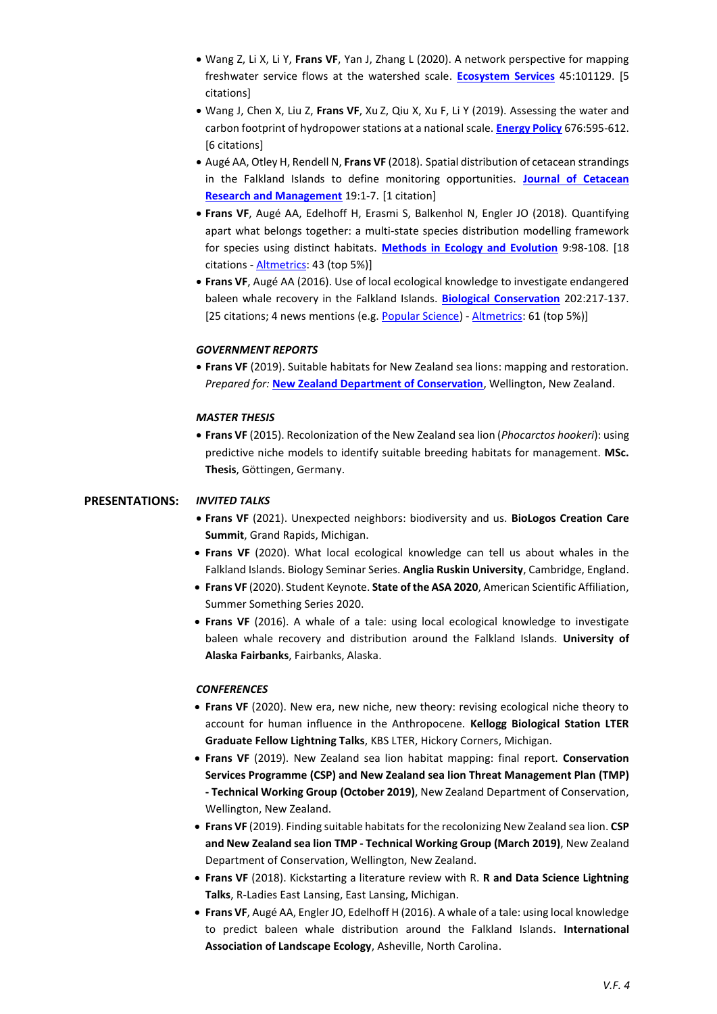- Wang Z, Li X, Li Y, **Frans VF**, Yan J, Zhang L (2020). A network perspective for mapping freshwater service flows at the watershed scale. **[Ecosystem Services](https://doi.org/10.1016/j.ecoser.2020.101129)** 45:101129. [5 citations]
- Wang J, Chen X, Liu Z, **Frans VF**, Xu Z, Qiu X, Xu F, Li Y (2019). Assessing the water and carbon footprint of hydropower stations at a national scale. **[Energy Policy](https://doi.org/10.1016/j.scitotenv.2019.04.148)** 676:595-612. [6 citations]
- Augé AA, Otley H, Rendell N, **Frans VF** (2018). Spatial distribution of cetacean strandings in the Falkland Islands to define monitoring opportunities. **[Journal of Cetacean](https://archive.iwc.int/?r=7931)  [Research and Management](https://archive.iwc.int/?r=7931)** 19:1-7. [1 citation]
- **Frans VF**, Augé AA, Edelhoff H, Erasmi S, Balkenhol N, Engler JO (2018). Quantifying apart what belongs together: a multi-state species distribution modelling framework for species using distinct habitats. **[Methods in Ecology and Evolution](https://doi.org/10.1111/2041-210X.12847)** 9:98-108. [18 citations - [Altmetrics](https://wiley.altmetric.com/details/21336345): 43 (top 5%)]
- **Frans VF**, Augé AA (2016). Use of local ecological knowledge to investigate endangered baleen whale recovery in the Falkland Islands. **[Biological Conservation](https://doi.org/10.1016/j.biocon.2016.08.017)** 202:217-137. [25 citations; 4 news mentions (e.g. [Popular Science\)](https://www.popsci.com/local-ecological-knowledge-saves-endangered-animals) - [Altmetrics:](https://www.altmetric.com/details/11846217) 61 (top 5%)]

### *GOVERNMENT REPORTS*

• **Frans VF** (2019). Suitable habitats for New Zealand sea lions: mapping and restoration. *Prepared for:* **[New Zealand Department of Conservation](https://www.doc.govt.nz/globalassets/documents/conservation/marine-and-coastal/marine-conservation-services/reports/nz-sea-lions/project2020-nzsl-habitat-mapping-report.pdf)**, Wellington, New Zealand.

### *MASTER THESIS*

• **Frans VF** (2015). Recolonization of the New Zealand sea lion (*Phocarctos hookeri*): using predictive niche models to identify suitable breeding habitats for management. **MSc. Thesis**, Göttingen, Germany.

### **PRESENTATIONS:** *INVITED TALKS*

- **Frans VF** (2021). Unexpected neighbors: biodiversity and us. **BioLogos Creation Care Summit**, Grand Rapids, Michigan.
- **Frans VF** (2020). What local ecological knowledge can tell us about whales in the Falkland Islands. Biology Seminar Series. **Anglia Ruskin University**, Cambridge, England.
- **Frans VF** (2020). Student Keynote. **State of the ASA 2020**, American Scientific Affiliation, Summer Something Series 2020.
- **Frans VF** (2016). A whale of a tale: using local ecological knowledge to investigate baleen whale recovery and distribution around the Falkland Islands. **University of Alaska Fairbanks**, Fairbanks, Alaska.

### *CONFERENCES*

- **Frans VF** (2020). New era, new niche, new theory: revising ecological niche theory to account for human influence in the Anthropocene. **Kellogg Biological Station LTER Graduate Fellow Lightning Talks**, KBS LTER, Hickory Corners, Michigan.
- **Frans VF** (2019). New Zealand sea lion habitat mapping: final report. **Conservation Services Programme (CSP) and New Zealand sea lion Threat Management Plan (TMP) - Technical Working Group (October 2019)**, New Zealand Department of Conservation, Wellington, New Zealand.
- **Frans VF** (2019). Finding suitable habitats for the recolonizing New Zealand sea lion. **CSP and New Zealand sea lion TMP - Technical Working Group (March 2019)**, New Zealand Department of Conservation, Wellington, New Zealand.
- **Frans VF** (2018). Kickstarting a literature review with R. **R and Data Science Lightning Talks**, R-Ladies East Lansing, East Lansing, Michigan.
- **Frans VF**, Augé AA, Engler JO, Edelhoff H (2016). A whale of a tale: using local knowledge to predict baleen whale distribution around the Falkland Islands. **International Association of Landscape Ecology**, Asheville, North Carolina.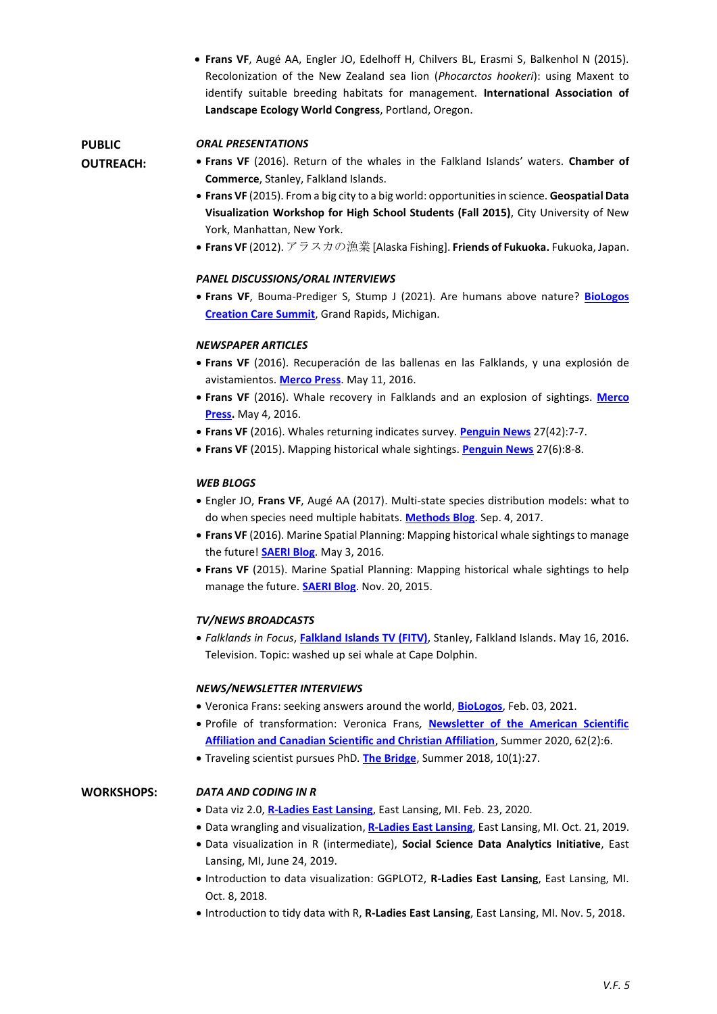• **Frans VF**, Augé AA, Engler JO, Edelhoff H, Chilvers BL, Erasmi S, Balkenhol N (2015). Recolonization of the New Zealand sea lion (*Phocarctos hookeri*): using Maxent to identify suitable breeding habitats for management. **International Association of Landscape Ecology World Congress**, Portland, Oregon.

### *ORAL PRESENTATIONS*

**PUBLIC OUTREACH:**

- **Frans VF** (2016). Return of the whales in the Falkland Islands' waters. **Chamber of Commerce**, Stanley, Falkland Islands.
- **Frans VF** (2015). From a big city to a big world: opportunities in science. **Geospatial Data Visualization Workshop for High School Students (Fall 2015)**, City University of New York, Manhattan, New York.
- **Frans VF** (2012). アラスカの漁業 [Alaska Fishing]. **Friends of Fukuoka.** Fukuoka, Japan.

### *PANEL DISCUSSIONS/ORAL INTERVIEWS*

• **Frans VF**, Bouma-Prediger S, Stump J (2021). Are humans above nature? **[BioLogos](https://youtu.be/ve9iam7Ji4M) [Creation Care Summit](https://youtu.be/ve9iam7Ji4M)**, Grand Rapids, Michigan.

### *NEWSPAPER ARTICLES*

- **Frans VF** (2016). Recuperación de las ballenas en las Falklands, y una explosión de avistamientos. **[Merco Press](http://es.mercopress.com/2016/05/11/recuperacion-de-las-ballenas-en-las-falklands-y-una-explosion-de-avistamientos)**. May 11, 2016.
- **Frans VF** (2016). Whale recovery in Falklands and an explosion of sightings. **[Merco](http://en.mercopress.com/2016/05/04/whale-recovery-in-falklands-and-an-explosion-of-sightings)  [Press.](http://en.mercopress.com/2016/05/04/whale-recovery-in-falklands-and-an-explosion-of-sightings)** May 4, 2016.
- **Frans VF** (2016). Whales returning indicates survey. **[Penguin News](https://www.dropbox.com/s/xkiript2zspgc3x/PN_whales_20160429.pdf?dl=0)** 27(42):7-7.
- **Frans VF** (2015). Mapping historical whale sightings. **[Penguin News](https://www.dropbox.com/s/3ebczbrjd8z29rd/PN_whales_20151023.pdf?dl=0)** 27(6):8-8.

### *WEB BLOGS*

- Engler JO, **Frans VF**, Augé AA (2017). Multi-state species distribution models: what to do when species need multiple habitats. **[Methods Blog](https://methodsblog.wordpress.com/2017/09/04/multi-state-sdms/)**. Sep. 4, 2017.
- **Frans VF** (2016). Marine Spatial Planning: Mapping historical whale sightings to manage the future! **[SAERI Blog](http://www.south-atlantic-research.org/blog/marine-spatial-planning-mapping-historical-whale-sightings-to-manage-the-future/)**. May 3, 2016.
- **Frans VF** (2015). Marine Spatial Planning: Mapping historical whale sightings to help manage the future. **[SAERI Blog](http://www.south-atlantic-research.org/blog/marine-spatial-planning-mapping-historical-whale-sightings-to-help-manage-the-future/)**. Nov. 20, 2015.

### *TV/NEWS BROADCASTS*

• *Falklands in Focus*, **[Falkland Islands TV \(FITV\)](https://www.dropbox.com/s/z5rkvfahaqar11h/FITV%20FiF%20273%20SD%20Part%20One%20-%20Cape%20Dolphin%20Whale_480p.mp4?dl=0)**, Stanley, Falkland Islands. May 16, 2016. Television. Topic: washed up sei whale at Cape Dolphin.

### *NEWS/NEWSLETTER INTERVIEWS*

- Veronica Frans: seeking answers around the world, **[BioLogos](https://biologos.org/articles/veronica-frans-seeking-answers-around-the-world)**, Feb. 03, 2021.
- Profile of transformation: Veronica Frans*,* **[Newsletter of the American Scientific](http://www.asa3.org/ASA/newsletter/2020vol62no2.pdf)  [Affiliation and Canadian Scientific and Christian Affiliation](http://www.asa3.org/ASA/newsletter/2020vol62no2.pdf)**, Summer 2020, 62(2):6.
- Traveling scientist pursues PhD*.* **[The Bridge](https://www.messiah.edu/infob/10/the_bridge/2564/Traveling_scientist_pursues_Ph.D.)**, Summer 2018, 10(1):27.

### **WORKSHOPS:** *DATA AND CODING IN R*

- Data viz 2.0, **[R-Ladies East Lansing](https://github.com/rladies-eastlansing/2020-dataviz2.0)**, East Lansing, MI. Feb. 23, 2020.
- Data wrangling and visualization, **[R-Ladies East Lansing](https://github.com/rladies-eastlansing/2019-workshop-dataviz)**, East Lansing, MI. Oct. 21, 2019.
- Data visualization in R (intermediate), **Social Science Data Analytics Initiative**, East Lansing, MI, June 24, 2019.
- Introduction to data visualization: GGPLOT2, **R-Ladies East Lansing**, East Lansing, MI. Oct. 8, 2018.
- Introduction to tidy data with R, **R-Ladies East Lansing**, East Lansing, MI. Nov. 5, 2018.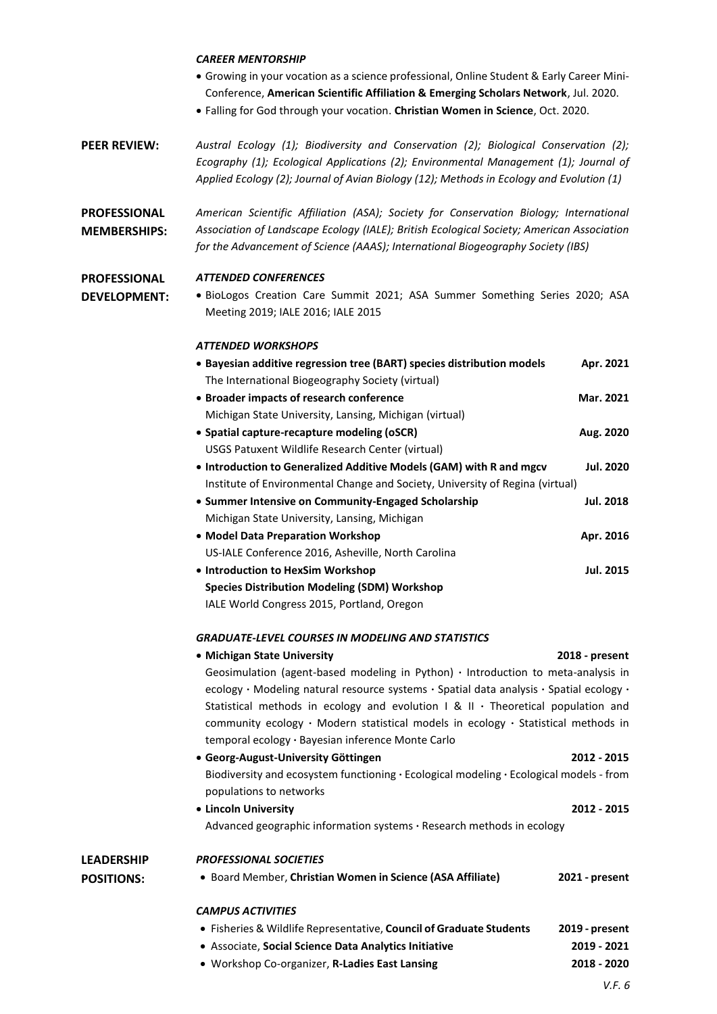### *CAREER MENTORSHIP*

- Growing in your vocation as a science professional, Online Student & Early Career Mini-Conference, **American Scientific Affiliation & Emerging Scholars Network**, Jul. 2020.
- Falling for God through your vocation. **Christian Women in Science**, Oct. 2020.
- **PEER REVIEW:** *Austral Ecology (1); Biodiversity and Conservation (2); Biological Conservation (2); Ecography (1); Ecological Applications (2); Environmental Management (1); Journal of Applied Ecology (2); Journal of Avian Biology (12); Methods in Ecology and Evolution (1)*

**PROFESSIONAL MEMBERSHIPS:** *American Scientific Affiliation (ASA); Society for Conservation Biology; International Association of Landscape Ecology (IALE); British Ecological Society; American Association for the Advancement of Science (AAAS); International Biogeography Society (IBS)*

### **PROFESSIONAL**  *ATTENDED CONFERENCES*

**DEVELOPMENT:**

• BioLogos Creation Care Summit 2021; ASA Summer Something Series 2020; ASA Meeting 2019; IALE 2016; IALE 2015

### *ATTENDED WORKSHOPS*

| • Bayesian additive regression tree (BART) species distribution models        | Apr. 2021        |
|-------------------------------------------------------------------------------|------------------|
| The International Biogeography Society (virtual)                              |                  |
| • Broader impacts of research conference                                      | Mar. 2021        |
| Michigan State University, Lansing, Michigan (virtual)                        |                  |
| • Spatial capture-recapture modeling (oSCR)                                   | Aug. 2020        |
| USGS Patuxent Wildlife Research Center (virtual)                              |                  |
| • Introduction to Generalized Additive Models (GAM) with R and mgcv           | <b>Jul. 2020</b> |
| Institute of Environmental Change and Society, University of Regina (virtual) |                  |
| • Summer Intensive on Community-Engaged Scholarship                           | Jul. 2018        |
| Michigan State University, Lansing, Michigan                                  |                  |
| • Model Data Preparation Workshop                                             | Apr. 2016        |
| US-IALE Conference 2016, Asheville, North Carolina                            |                  |
| • Introduction to HexSim Workshop                                             | <b>Jul. 2015</b> |
| <b>Species Distribution Modeling (SDM) Workshop</b>                           |                  |
| IALE World Congress 2015, Portland, Oregon                                    |                  |

### *GRADUATE-LEVEL COURSES IN MODELING AND STATISTICS*

| GRADUATE-LEVEL COURSES IN MODELING AND STATISTICS                                                   |                                                                                                                                                                                                                                                                                     |
|-----------------------------------------------------------------------------------------------------|-------------------------------------------------------------------------------------------------------------------------------------------------------------------------------------------------------------------------------------------------------------------------------------|
| • Michigan State University                                                                         | 2018 - present                                                                                                                                                                                                                                                                      |
| Geosimulation (agent-based modeling in Python) $\cdot$ Introduction to meta-analysis in             |                                                                                                                                                                                                                                                                                     |
|                                                                                                     |                                                                                                                                                                                                                                                                                     |
|                                                                                                     |                                                                                                                                                                                                                                                                                     |
|                                                                                                     |                                                                                                                                                                                                                                                                                     |
| temporal ecology · Bayesian inference Monte Carlo                                                   |                                                                                                                                                                                                                                                                                     |
| • Georg-August-University Göttingen                                                                 | 2012 - 2015                                                                                                                                                                                                                                                                         |
| Biodiversity and ecosystem functioning $\cdot$ Ecological modeling $\cdot$ Ecological models - from |                                                                                                                                                                                                                                                                                     |
| populations to networks                                                                             |                                                                                                                                                                                                                                                                                     |
| • Lincoln University                                                                                | 2012 - 2015                                                                                                                                                                                                                                                                         |
| Advanced geographic information systems $\cdot$ Research methods in ecology                         |                                                                                                                                                                                                                                                                                     |
| <b>PROFESSIONAL SOCIETIES</b>                                                                       |                                                                                                                                                                                                                                                                                     |
| • Board Member, Christian Women in Science (ASA Affiliate)                                          | 2021 - present                                                                                                                                                                                                                                                                      |
| <b>CAMPUS ACTIVITIES</b>                                                                            |                                                                                                                                                                                                                                                                                     |
| • Fisheries & Wildlife Representative, Council of Graduate Students                                 | 2019 - present                                                                                                                                                                                                                                                                      |
| • Associate, Social Science Data Analytics Initiative                                               | 2019 - 2021                                                                                                                                                                                                                                                                         |
| · Workshop Co-organizer, R-Ladies East Lansing                                                      | 2018 - 2020                                                                                                                                                                                                                                                                         |
|                                                                                                     | ecology • Modeling natural resource systems • Spatial data analysis • Spatial ecology •<br>Statistical methods in ecology and evolution $1 \& 11 \cdot$ Theoretical population and<br>community ecology $\cdot$ Modern statistical models in ecology $\cdot$ Statistical methods in |